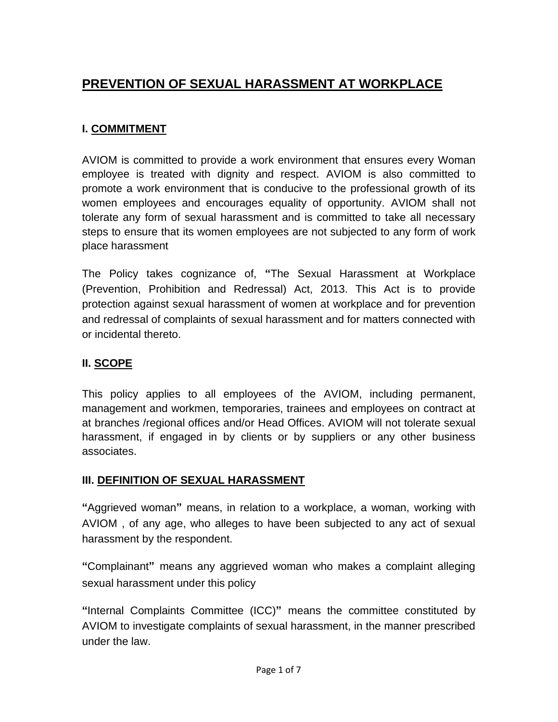# **PREVENTION OF SEXUAL HARASSMENT AT WORKPLACE**

## **I. COMMITMENT**

AVIOM is committed to provide a work environment that ensures every Woman employee is treated with dignity and respect. AVIOM is also committed to promote a work environment that is conducive to the professional growth of its women employees and encourages equality of opportunity. AVIOM shall not tolerate any form of sexual harassment and is committed to take all necessary steps to ensure that its women employees are not subjected to any form of work place harassment

The Policy takes cognizance of, **"**The Sexual Harassment at Workplace (Prevention, Prohibition and Redressal) Act, 2013. This Act is to provide protection against sexual harassment of women at workplace and for prevention and redressal of complaints of sexual harassment and for matters connected with or incidental thereto.

## **II. SCOPE**

This policy applies to all employees of the AVIOM, including permanent, management and workmen, temporaries, trainees and employees on contract at at branches /regional offices and/or Head Offices. AVIOM will not tolerate sexual harassment, if engaged in by clients or by suppliers or any other business associates.

## **III. DEFINITION OF SEXUAL HARASSMENT**

**"**Aggrieved woman**"** means, in relation to a workplace, a woman, working with AVIOM , of any age, who alleges to have been subjected to any act of sexual harassment by the respondent.

**"**Complainant**"** means any aggrieved woman who makes a complaint alleging sexual harassment under this policy

**"**Internal Complaints Committee (ICC)**"** means the committee constituted by AVIOM to investigate complaints of sexual harassment, in the manner prescribed under the law.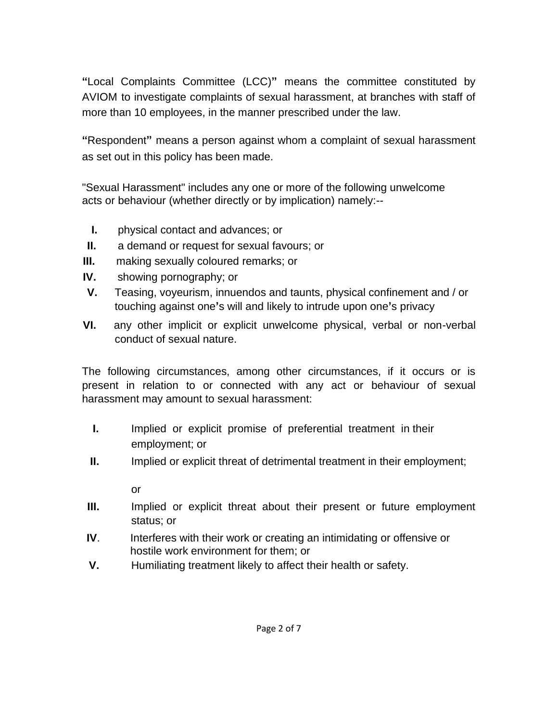**"**Local Complaints Committee (LCC)**"** means the committee constituted by AVIOM to investigate complaints of sexual harassment, at branches with staff of more than 10 employees, in the manner prescribed under the law.

**"**Respondent**"** means a person against whom a complaint of sexual harassment as set out in this policy has been made.

"Sexual Harassment" includes any one or more of the following unwelcome acts or behaviour (whether directly or by implication) namely:--

- **I.** physical contact and advances; or
- **II.** a demand or request for sexual favours; or
- **III.** making sexually coloured remarks; or
- **IV.** showing pornography; or
- **V.** Teasing, voyeurism, innuendos and taunts, physical confinement and / or touching against one**'**s will and likely to intrude upon one**'**s privacy
- **VI.** any other implicit or explicit unwelcome physical, verbal or non-verbal conduct of sexual nature.

The following circumstances, among other circumstances, if it occurs or is present in relation to or connected with any act or behaviour of sexual harassment may amount to sexual harassment:

- **I.** Implied or explicit promise of preferential treatment in their employment; or
- **II.** Implied or explicit threat of detrimental treatment in their employment;

or

- **III.** Implied or explicit threat about their present or future employment status; or
- **IV.** Interferes with their work or creating an intimidating or offensive or hostile work environment for them; or
- **V.** Humiliating treatment likely to affect their health or safety.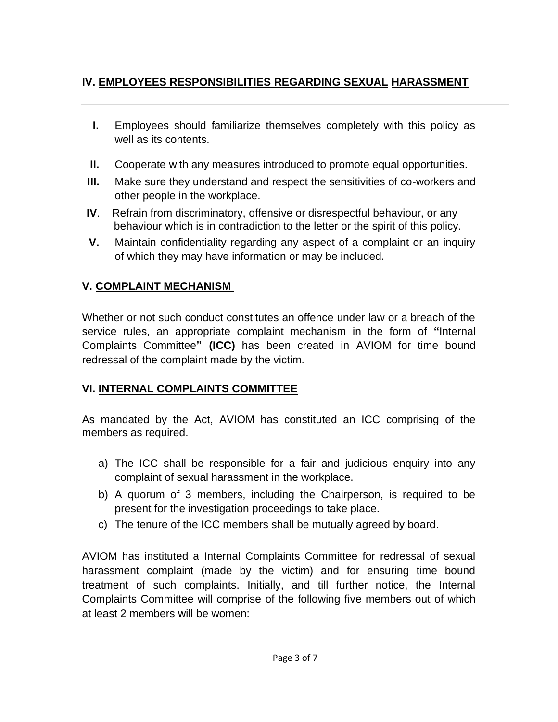# **IV. EMPLOYEES RESPONSIBILITIES REGARDING SEXUAL HARASSMENT**

- **I.** Employees should familiarize themselves completely with this policy as well as its contents.
- **II.** Cooperate with any measures introduced to promote equal opportunities.
- **III.** Make sure they understand and respect the sensitivities of co-workers and other people in the workplace.
- **IV**. Refrain from discriminatory, offensive or disrespectful behaviour, or any behaviour which is in contradiction to the letter or the spirit of this policy.
- **V.** Maintain confidentiality regarding any aspect of a complaint or an inquiry of which they may have information or may be included.

## **V. COMPLAINT MECHANISM**

Whether or not such conduct constitutes an offence under law or a breach of the service rules, an appropriate complaint mechanism in the form of **"**Internal Complaints Committee**" (ICC)** has been created in AVIOM for time bound redressal of the complaint made by the victim.

## **VI. INTERNAL COMPLAINTS COMMITTEE**

As mandated by the Act, AVIOM has constituted an ICC comprising of the members as required.

- a) The ICC shall be responsible for a fair and judicious enquiry into any complaint of sexual harassment in the workplace.
- b) A quorum of 3 members, including the Chairperson, is required to be present for the investigation proceedings to take place.
- c) The tenure of the ICC members shall be mutually agreed by board.

AVIOM has instituted a Internal Complaints Committee for redressal of sexual harassment complaint (made by the victim) and for ensuring time bound treatment of such complaints. Initially, and till further notice, the Internal Complaints Committee will comprise of the following five members out of which at least 2 members will be women: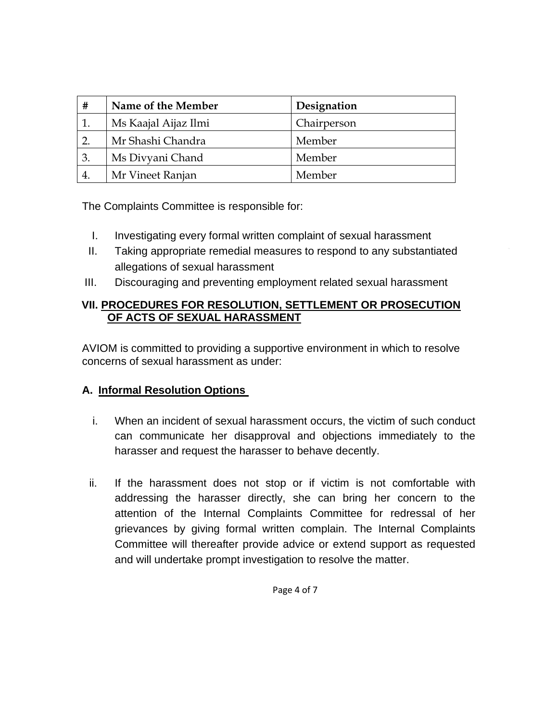| #              | Name of the Member   | Designation |
|----------------|----------------------|-------------|
|                | Ms Kaajal Aijaz Ilmi | Chairperson |
|                | Mr Shashi Chandra    | Member      |
| $\mathfrak{B}$ | Ms Divyani Chand     | Member      |
|                | Mr Vineet Ranjan     | Member      |

The Complaints Committee is responsible for:

- I. Investigating every formal written complaint of sexual harassment
- II. Taking appropriate remedial measures to respond to any substantiated allegations of sexual harassment
- III. Discouraging and preventing employment related sexual harassment

#### **VII. PROCEDURES FOR RESOLUTION, SETTLEMENT OR PROSECUTION OF ACTS OF SEXUAL HARASSMENT**

AVIOM is committed to providing a supportive environment in which to resolve concerns of sexual harassment as under:

## **A. Informal Resolution Options**

- i. When an incident of sexual harassment occurs, the victim of such conduct can communicate her disapproval and objections immediately to the harasser and request the harasser to behave decently.
- ii. If the harassment does not stop or if victim is not comfortable with addressing the harasser directly, she can bring her concern to the attention of the Internal Complaints Committee for redressal of her grievances by giving formal written complain. The Internal Complaints Committee will thereafter provide advice or extend support as requested and will undertake prompt investigation to resolve the matter.

Page 4 of 7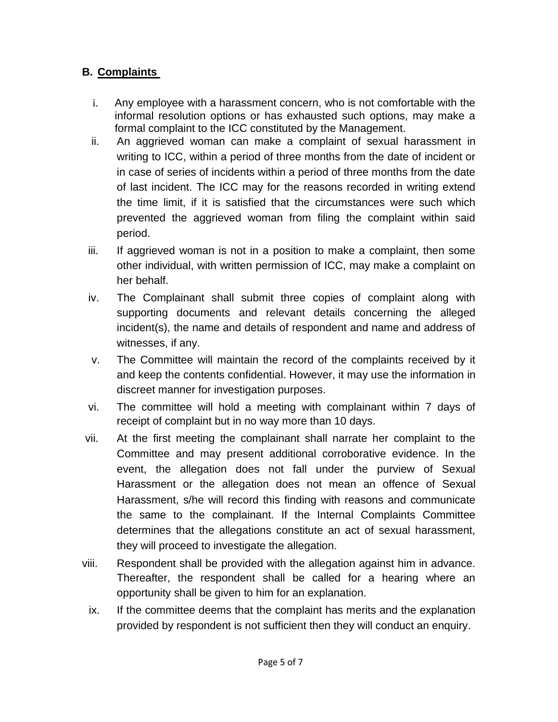# **B. Complaints**

- i. Any employee with a harassment concern, who is not comfortable with the informal resolution options or has exhausted such options, may make a formal complaint to the ICC constituted by the Management.
- ii. An aggrieved woman can make a complaint of sexual harassment in writing to ICC, within a period of three months from the date of incident or in case of series of incidents within a period of three months from the date of last incident. The ICC may for the reasons recorded in writing extend the time limit, if it is satisfied that the circumstances were such which prevented the aggrieved woman from filing the complaint within said period.
- iii. If aggrieved woman is not in a position to make a complaint, then some other individual, with written permission of ICC, may make a complaint on her behalf.
- iv. The Complainant shall submit three copies of complaint along with supporting documents and relevant details concerning the alleged incident(s), the name and details of respondent and name and address of witnesses, if any.
- v. The Committee will maintain the record of the complaints received by it and keep the contents confidential. However, it may use the information in discreet manner for investigation purposes.
- vi. The committee will hold a meeting with complainant within 7 days of receipt of complaint but in no way more than 10 days.
- vii. At the first meeting the complainant shall narrate her complaint to the Committee and may present additional corroborative evidence. In the event, the allegation does not fall under the purview of Sexual Harassment or the allegation does not mean an offence of Sexual Harassment, s/he will record this finding with reasons and communicate the same to the complainant. If the Internal Complaints Committee determines that the allegations constitute an act of sexual harassment, they will proceed to investigate the allegation.
- viii. Respondent shall be provided with the allegation against him in advance. Thereafter, the respondent shall be called for a hearing where an opportunity shall be given to him for an explanation.
	- ix. If the committee deems that the complaint has merits and the explanation provided by respondent is not sufficient then they will conduct an enquiry.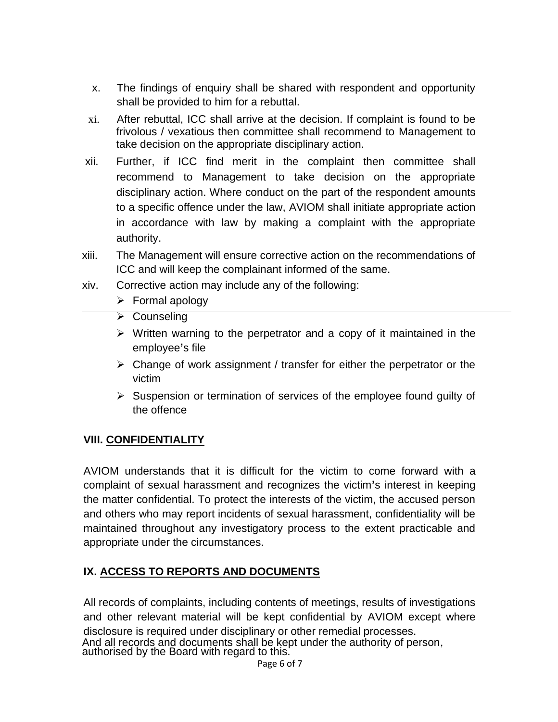- x. The findings of enquiry shall be shared with respondent and opportunity shall be provided to him for a rebuttal.
- xi. After rebuttal, ICC shall arrive at the decision. If complaint is found to be frivolous / vexatious then committee shall recommend to Management to take decision on the appropriate disciplinary action.
- xii. Further, if ICC find merit in the complaint then committee shall recommend to Management to take decision on the appropriate disciplinary action. Where conduct on the part of the respondent amounts to a specific offence under the law, AVIOM shall initiate appropriate action in accordance with law by making a complaint with the appropriate authority.
- xiii. The Management will ensure corrective action on the recommendations of ICC and will keep the complainant informed of the same.
- xiv. Corrective action may include any of the following:
	- ➢ Formal apology
	- ➢ Counseling
	- $\triangleright$  Written warning to the perpetrator and a copy of it maintained in the employee**'**s file
	- ➢ Change of work assignment / transfer for either the perpetrator or the victim
	- ➢ Suspension or termination of services of the employee found guilty of the offence

## **VIII. CONFIDENTIALITY**

AVIOM understands that it is difficult for the victim to come forward with a complaint of sexual harassment and recognizes the victim**'**s interest in keeping the matter confidential. To protect the interests of the victim, the accused person and others who may report incidents of sexual harassment, confidentiality will be maintained throughout any investigatory process to the extent practicable and appropriate under the circumstances.

#### **IX. ACCESS TO REPORTS AND DOCUMENTS**

All records of complaints, including contents of meetings, results of investigations and other relevant material will be kept confidential by AVIOM except where disclosure is required under disciplinary or other remedial processes. And all records and documents shall be kept under the authority of person, authorised by the Board with regard to this.